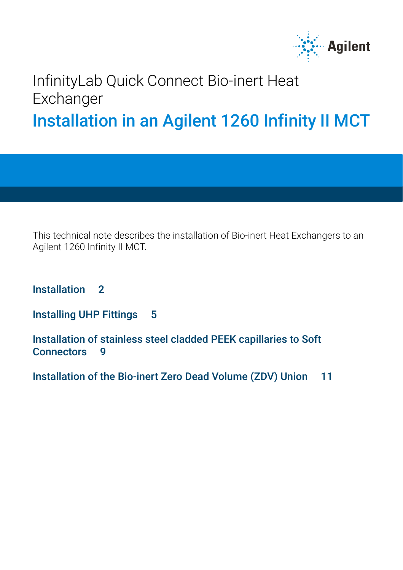

### InfinityLab Quick Connect Bio-inert Heat **Exchanger** Installation in an Agilent 1260 Infinity II MCT

This technical note describes the installation of Bio-inert Heat Exchangers to an Agilent 1260 Infinity II MCT.

[Installation 2](#page-1-0)

[Installing UHP Fittings 5](#page-4-0)

[Installation of stainless steel cladded PEEK capillaries to Soft](#page-8-0)  [Connectors 9](#page-8-0)

[Installation of the Bio-inert Zero Dead Volume \(ZDV\) Union 11](#page-10-0)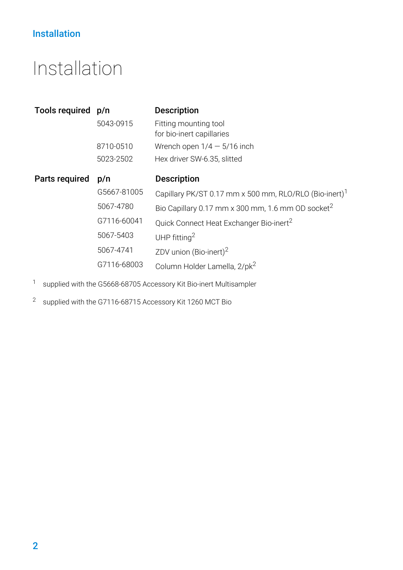### Installation

### <span id="page-1-0"></span>Installation

| Tools required p/n |             | <b>Description</b>                                                 |
|--------------------|-------------|--------------------------------------------------------------------|
|                    | 5043-0915   | Fitting mounting tool                                              |
|                    |             | for bio-inert capillaries                                          |
|                    | 8710-0510   | Wrench open $1/4 - 5/16$ inch                                      |
|                    | 5023-2502   | Hex driver SW-6.35, slitted                                        |
| Parts required     | p/n         | <b>Description</b>                                                 |
|                    | G5667-81005 | Capillary PK/ST 0.17 mm x 500 mm, RLO/RLO (Bio-inert) <sup>1</sup> |
|                    | 5067-4780   | Bio Capillary 0.17 mm x 300 mm, 1.6 mm OD socket <sup>2</sup>      |
|                    | G7116-60041 | Quick Connect Heat Exchanger Bio-inert <sup>2</sup>                |
|                    | 5067-5403   | UHP fitting $^2$                                                   |
|                    | 5067-4741   | ZDV union (Bio-inert) <sup>2</sup>                                 |
|                    | G7116-68003 | Column Holder Lamella, 2/pk <sup>2</sup>                           |

<sup>1</sup> supplied with the G5668-68705 Accessory Kit Bio-inert Multisampler

<sup>2</sup> supplied with the G7116-68715 Accessory Kit 1260 MCT Bio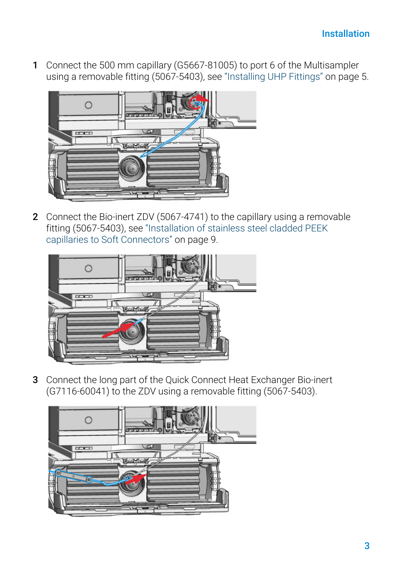1 Connect the 500 mm capillary (G5667-81005) to port 6 of the Multisampler using a removable fitting (5067-5403), see ["Installing UHP Fittings"](#page-4-0) on page 5.



2 Connect the Bio-inert ZDV (5067-4741) to the capillary using a removable fitting (5067-5403), see ["Installation of stainless steel cladded PEEK](#page-8-0)  [capillaries to Soft Connectors"](#page-8-0) on page 9.



3 Connect the long part of the Quick Connect Heat Exchanger Bio-inert (G7116-60041) to the ZDV using a removable fitting (5067-5403).

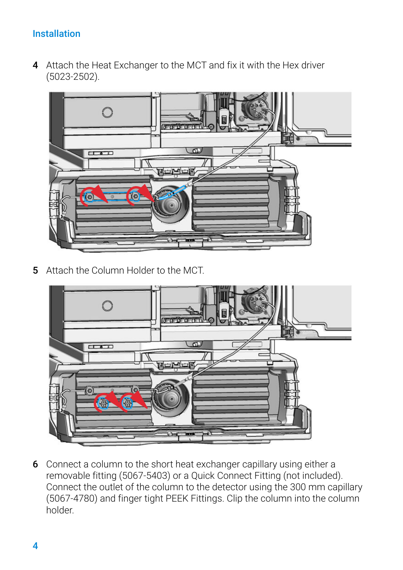### Installation

4 Attach the Heat Exchanger to the MCT and fix it with the Hex driver (5023-2502).



5 Attach the Column Holder to the MCT.



6 Connect a column to the short heat exchanger capillary using either a removable fitting (5067-5403) or a Quick Connect Fitting (not included). Connect the outlet of the column to the detector using the 300 mm capillary (5067-4780) and finger tight PEEK Fittings. Clip the column into the column holder.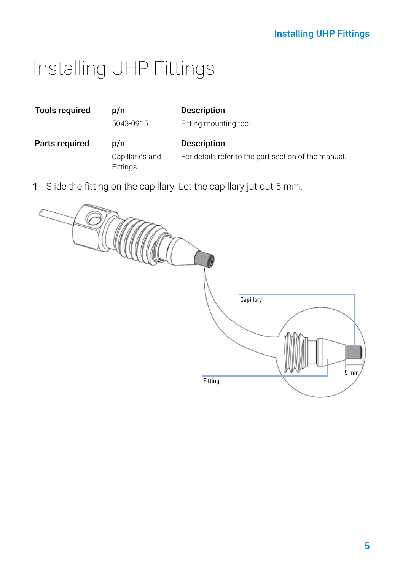### Installing UHP Fittings

## <span id="page-4-0"></span>Installing UHP Fittings

| <b>Tools required</b> | p/n                                | <b>Description</b>                                                  |
|-----------------------|------------------------------------|---------------------------------------------------------------------|
|                       | 5043-0915                          | Fitting mounting tool                                               |
| Parts required        | p/n                                | <b>Description</b>                                                  |
|                       | Capillaries and<br><b>Fittings</b> | For details refer to the part section of the manual.                |
|                       |                                    | Slide the fitting on the capillary. Let the capillary jut out 5 mm. |

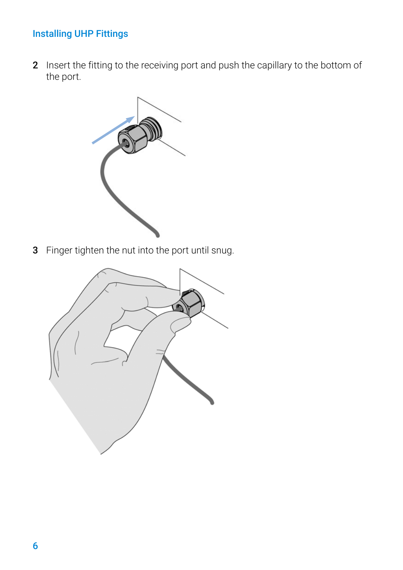### Installing UHP Fittings

2 Insert the fitting to the receiving port and push the capillary to the bottom of the port.



3 Finger tighten the nut into the port until snug.

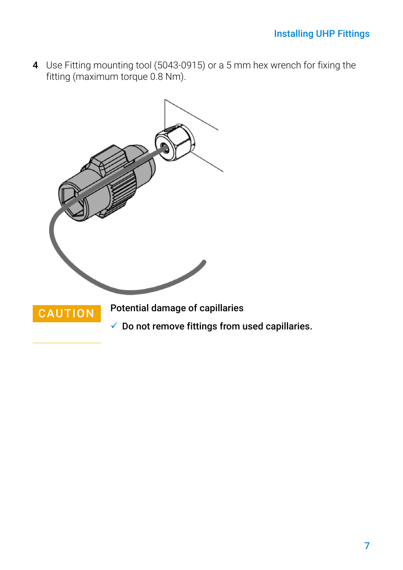4 Use Fitting mounting tool (5043-0915) or a 5 mm hex wrench for fixing the fitting (maximum torque 0.8 Nm).



 $\checkmark$  Do not remove fittings from used capillaries.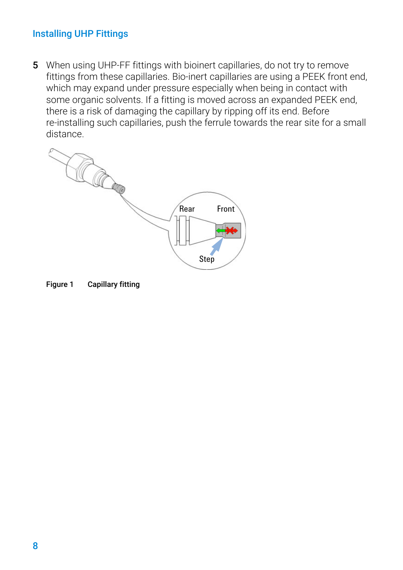### Installing UHP Fittings

5 When using UHP-FF fittings with bioinert capillaries, do not try to remove fittings from these capillaries. Bio-inert capillaries are using a PEEK front end, which may expand under pressure especially when being in contact with some organic solvents. If a fitting is moved across an expanded PEEK end, there is a risk of damaging the capillary by ripping off its end. Before re-installing such capillaries, push the ferrule towards the rear site for a small distance.



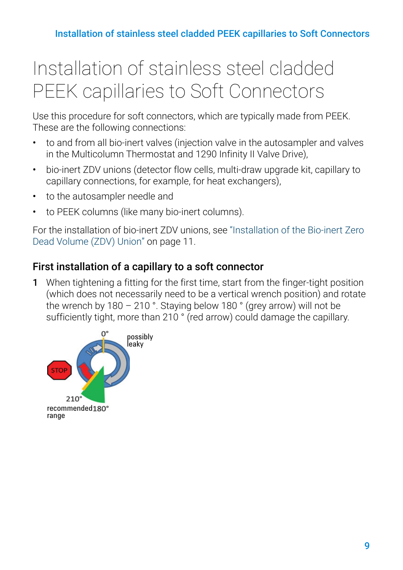# <span id="page-8-0"></span>Installation of stainless steel cladded PEEK capillaries to Soft Connectors

Use this procedure for soft connectors, which are typically made from PEEK. These are the following connections:

- to and from all bio-inert valves (injection valve in the autosampler and valves in the Multicolumn Thermostat and 1290 Infinity II Valve Drive),
- bio-inert ZDV unions (detector flow cells, multi-draw upgrade kit, capillary to capillary connections, for example, for heat exchangers),
- to the autosampler needle and
- to PEEK columns (like many bio-inert columns).

For the installation of bio-inert ZDV unions, see ["Installation of the Bio-inert Zero](#page-10-0)  [Dead Volume \(ZDV\) Union"](#page-10-0) on page 11.

### First installation of a capillary to a soft connector

1 When tightening a fitting for the first time, start from the finger-tight position (which does not necessarily need to be a vertical wrench position) and rotate the wrench by 180 – 210 °. Staying below 180 ° (grey arrow) will not be sufficiently tight, more than 210 ° (red arrow) could damage the capillary.

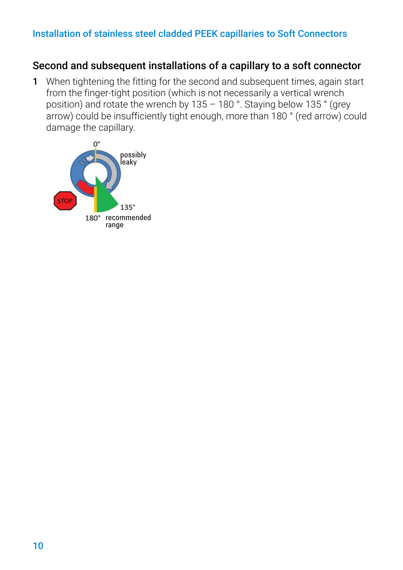#### Installation of stainless steel cladded PEEK capillaries to Soft Connectors

### Second and subsequent installations of a capillary to a soft connector

1 When tightening the fitting for the second and subsequent times, again start from the finger-tight position (which is not necessarily a vertical wrench position) and rotate the wrench by 135 – 180 °. Staying below 135 ° (grey arrow) could be insufficiently tight enough, more than 180 ° (red arrow) could damage the capillary.

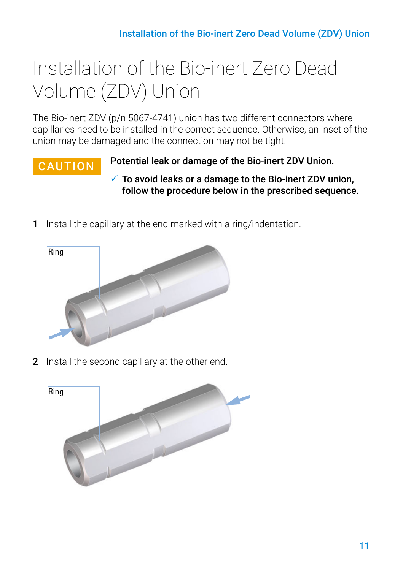# <span id="page-10-0"></span>Installation of the Bio-inert Zero Dead Volume (ZDV) Union

The Bio-inert ZDV (p/n 5067-4741) union has two different connectors where capillaries need to be installed in the correct sequence. Otherwise, an inset of the union may be damaged and the connection may not be tight.

CAUTION Potential leak or damage of the Bio-inert ZDV Union.

- $\checkmark$  To avoid leaks or a damage to the Bio-inert ZDV union, follow the procedure below in the prescribed sequence.
- 1 Install the capillary at the end marked with a ring/indentation.



2 Install the second capillary at the other end.